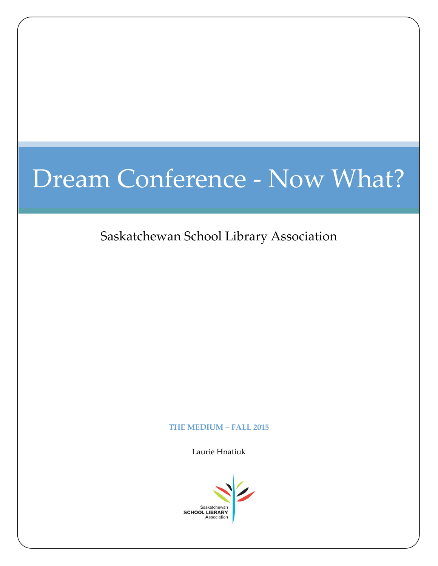# Dream Conference - Now What?

Saskatchewan School Library Association

## **THE MEDIUM – FALL 2015**

Laurie Hnatiuk

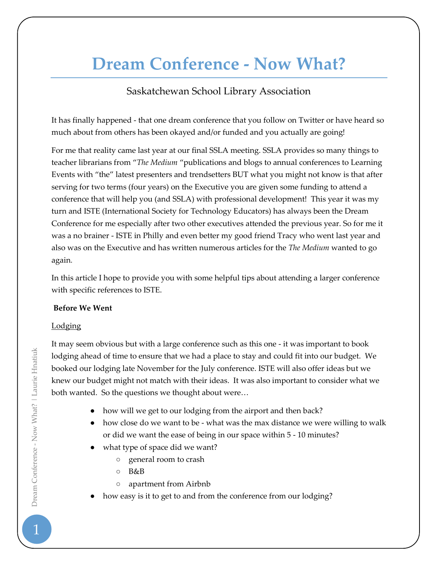## **Dream Conference - Now What?**

## Saskatchewan School Library Association

It has finally happened - that one dream conference that you follow on Twitter or have heard so much about from others has been okayed and/or funded and you actually are going!

For me that reality came last year at our final SSLA meeting. SSLA provides so many things to teacher librarians from "*The Medium* "publications and blogs to annual conferences to Learning Events with "the" latest presenters and trendsetters BUT what you might not know is that after serving for two terms (four years) on the Executive you are given some funding to attend a conference that will help you (and SSLA) with professional development! This year it was my turn and ISTE (International Society for Technology Educators) has always been the Dream Conference for me especially after two other executives attended the previous year. So for me it was a no brainer - ISTE in Philly and even better my good friend Tracy who went last year and also was on the Executive and has written numerous articles for the *The Medium* wanted to go again*.* 

In this article I hope to provide you with some helpful tips about attending a larger conference with specific references to ISTE.

## **Before We Went**

## Lodging

It may seem obvious but with a large conference such as this one - it was important to book lodging ahead of time to ensure that we had a place to stay and could fit into our budget. We booked our lodging late November for the July conference. ISTE will also offer ideas but we knew our budget might not match with their ideas. It was also important to consider what we both wanted. So the questions we thought about were…

- how will we get to our lodging from the airport and then back?
- how close do we want to be what was the max distance we were willing to walk or did we want the ease of being in our space within 5 - 10 minutes?
- what type of space did we want?
	- general room to crash
	- B&B
	- apartment from Airbnb
- how easy is it to get to and from the conference from our lodging?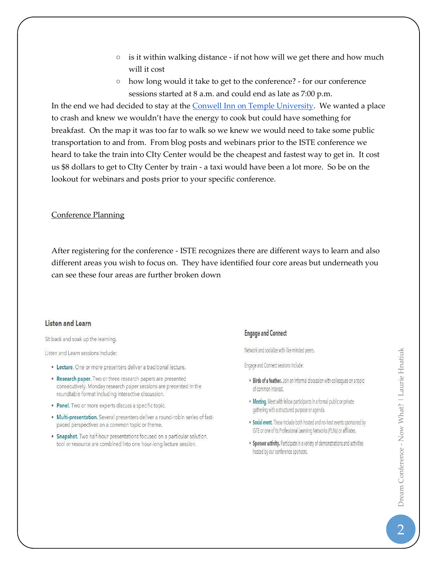- $\circ$  is it within walking distance if not how will we get there and how much will it cost
- how long would it take to get to the conference? for our conference sessions started at 8 a.m. and could end as late as 7:00 p.m.

In the end we had decided to stay at the **Conwell Inn on Temple University**. We wanted a place to crash and knew we wouldn't have the energy to cook but could have something for breakfast. On the map it was too far to walk so we knew we would need to take some public transportation to and from. From blog posts and webinars prior to the ISTE conference we heard to take the train into CIty Center would be the cheapest and fastest way to get in. It cost us \$8 dollars to get to CIty Center by train - a taxi would have been a lot more. So be on the lookout for webinars and posts prior to your specific conference.

## Conference Planning

After registering for the conference - ISTE recognizes there are different ways to learn and also different areas you wish to focus on. They have identified four core areas but underneath you can see these four areas are further broken down

## **Listen and Learn**

## Sit back and soak up the learning.

Listen and Learn sessions include:

- Lecture. One or more presenters deliver a traditional lecture.
- Research paper. Two or three research papers are presented consecutively. Monday research paper sessions are presented in the roundtable format including interactive discussion.
- Panel. Two or more experts discuss a specific topic.
- · Multi-presentation. Several presenters deliver a round-robin series of fastpaced perspectives on a common topic or theme.
- Snapshot. Two half-hour presentations focused on a particular solution, tool or resource are combined into one hour-long lecture session.

## **Engage and Connect**

Network and socialize with like-minded peers.

Engage and Connect sessions include:

- . Birds of a feather. Join an informal discussion with colleagues on a topic of common interest.
- Meeting. Meet with fellow participants in a formal public or private gathering with a structured purpose or agenda.
- Social event. These include both hosted and no-host events sponsored by ISTE or one of its Professional Learning Networks (PLNs) or affiliates.
- Sponsor activity. Participate in a variety of demonstrations and activities hosted by our conference sponsors.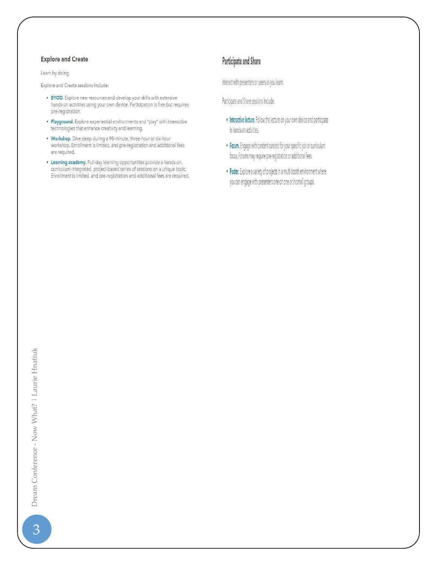## **Explore and Create**

Learn by doing.

Explore and Create sessions include:

- BYOD. Explore new resources and develop your skills with extensive hands-on activities using your own device. Participation is free but requires pre-registration.
- . Playground. Explore experiential environments and "play" with interactive technologies that enhance creativity and learning.
- Workshop. Dive deep during a 90-minute, three-hour or six-hour<br>workshop. Enrollment is limited, and pre-registration and additional fees are required.
- Learning academy. Full-day learning opportunities provide a hands-on, curriculum-integrated, project-based series of sessions on a unique topic. Enrollment is limited, and pre-registration and additional fees are required.

## Participate and Share

Interact with presenters or peers as you learn.

Participate and Share sessions include:

- . Interactive lecture. Follow the lecture on your own device and participate in hands-on activities.
- . Forum. Engage with content curated for your specific job or curriculum focus. Forums may require pre-registration or additional fees.
- . Poster. Explore a variety of projects in a multi-booth environment where you can engage with presenters one on one or in small groups.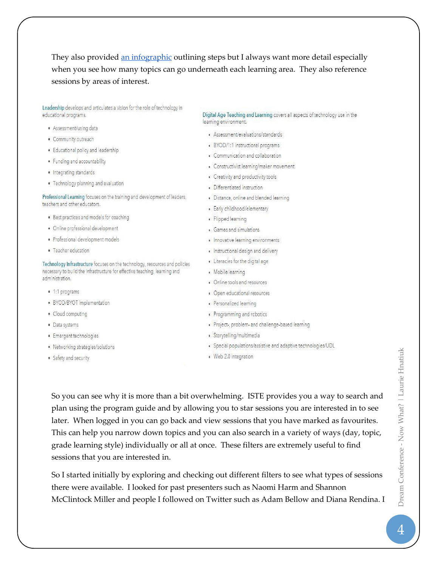They also provided an infographic outlining steps but I always want more detail especially when you see how many topics can go underneath each learning area. They also reference sessions by areas of interest.

Leadership develops and articulates a vision for the role of technology in educational programs.

- · Assessment/using data
- · Community outreach
- · Educational policy and leadership
- · Funding and accountability
- · Integrating standards
- · Technology planning and evaluation

Professional Learning focuses on the training and development of leaders, teachers and other educators.

- · Best practices and models for coaching
- · Online professional development
- · Professional development models
- · Teacher education

Technology Infrastructure focuses on the technology, resources and policies necessary to build the infrastructure for effective teaching, learning and administration.

- · 1:1 programs
- · BYOD/BYOT implementation
- · Cloud computing
- · Data systems
- · Emergent technologies
- · Networking strategies/solutions
- · Safety and security

Digital Age Teaching and Learning covers all aspects of technology use in the learning environment.

- · Assessment/evaluations/standards
- · BYOD/1:1 instructional programs
- Communication and collaboration
- Constructivist learning/maker movement
- Creativity and productivity tools
- · Differentiated instruction
- · Distance, online and blended learning
- · Early childhood/elementary
- · Flipped learning
- Games and simulations
- . Innovative learning environments
- · Instructional design and delivery
- Literacies for the digital age
- · Mobile learning
- Online tools and resources
- Open educational resources
- · Personalized learning
- · Programming and robotics
- · Project-, problem- and challenge-based learning
- · Storytelling/multimedia
- · Special populations/assistive and adaptive technologies/UDL
- · Web 2.0 integration

So you can see why it is more than a bit overwhelming. ISTE provides you a way to search and plan using the program guide and by allowing you to star sessions you are interested in to see later. When logged in you can go back and view sessions that you have marked as favourites. This can help you narrow down topics and you can also search in a variety of ways (day, topic, grade learning style) individually or all at once. These filters are extremely useful to find sessions that you are interested in.

So I started initially by exploring and checking out different filters to see what types of sessions there were available. I looked for past presenters such as Naomi Harm and Shannon McClintock Miller and people I followed on Twitter such as Adam Bellow and Diana Rendina. I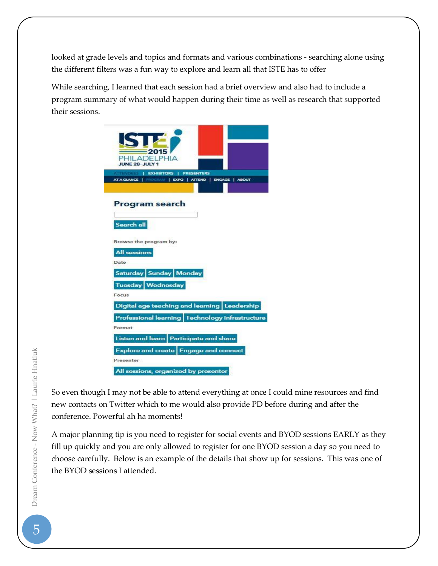looked at grade levels and topics and formats and various combinations - searching alone using the different filters was a fun way to explore and learn all that ISTE has to offer

While searching, I learned that each session had a brief overview and also had to include a program summary of what would happen during their time as well as research that supported their sessions.

| ST<br>$-2015$<br>PHILADELPHIA<br><b>JUNE 28-JULY 1</b><br><b>EXHIBITORS  </b><br><b>PRESENTERS</b><br>  PROGRAM   EXPO   ATTEND   ENGAGE   ABOUT<br>AT A GLANCE |
|-----------------------------------------------------------------------------------------------------------------------------------------------------------------|
| Program search<br>Search all                                                                                                                                    |
| Browse the program by:<br><b>All sessions</b><br>Date                                                                                                           |
| Saturday Sunday Monday<br>Tuesday Wednesday<br>Focus                                                                                                            |
| Digital age teaching and learning Leadership<br>Professional learning Technology infrastructure<br>Format                                                       |
| Listen and learn Participate and share<br>Explore and create Engage and connect<br>Presenter<br>All sessions, organized by presenter                            |

So even though I may not be able to attend everything at once I could mine resources and find new contacts on Twitter which to me would also provide PD before during and after the conference. Powerful ah ha moments!

A major planning tip is you need to register for social events and BYOD sessions EARLY as they fill up quickly and you are only allowed to register for one BYOD session a day so you need to choose carefully. Below is an example of the details that show up for sessions. This was one of the BYOD sessions I attended.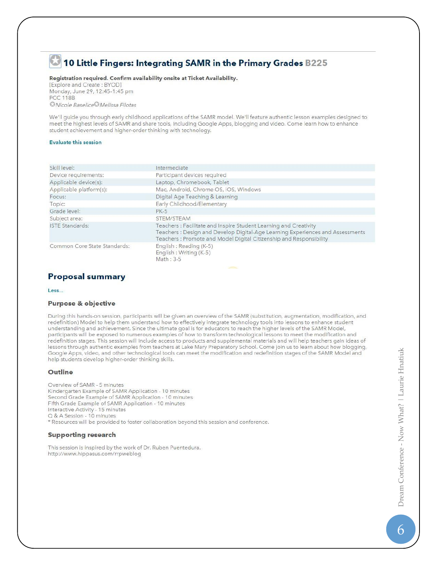## 10 Little Fingers: Integrating SAMR in the Primary Grades B225

## Registration required. Confirm availability onsite at Ticket Availability.

[Explore and Create: BYOD] Monday, June 29, 12:45-1:45 pm **PCC 118B** Nicole Baselice<sup>O</sup> Melissa Filotas

We'll guide you through early childhood applications of the SAMR model. We'll feature authentic lesson examples designed to meet the highest levels of SAMR and share tools, including Google Apps, blogging and video. Come learn how to enhance student achievement and higher-order thinking with technology.

## **Evaluate this session**

| Skill level:                 | Intermediate                                                                                                                                                                                                            |
|------------------------------|-------------------------------------------------------------------------------------------------------------------------------------------------------------------------------------------------------------------------|
| Device requirements:         | Participant devices required                                                                                                                                                                                            |
| Applicable device(s):        | Laptop, Chromebook, Tablet                                                                                                                                                                                              |
| Applicable platform(s):      | Mac, Android, Chrome OS, iOS, Windows                                                                                                                                                                                   |
| Focus:                       | Digital Age Teaching & Learning                                                                                                                                                                                         |
| Topic:                       | Early Childhood/Elementary                                                                                                                                                                                              |
| Grade level:                 | <b>PK-5</b>                                                                                                                                                                                                             |
| Subject area:                | STEM/STEAM                                                                                                                                                                                                              |
| <b>ISTE Standards:</b>       | Teachers: Facilitate and Inspire Student Learning and Creativity<br>Teachers: Design and Develop Digital-Age Learning Experiences and Assessments<br>Teachers: Promote and Model Digital Citizenship and Responsibility |
| Common Core State Standards: | English : Reading (K-5)<br>English: Writing (K-5)<br>Math: 3-5                                                                                                                                                          |

## **Proposal summary**

#### Less...

## **Purpose & objective**

During this hands-on session, participants will be given an overview of the SAMR (substitution, augmentation, modification, and redefinition) Model to help them understand how to effectively integrate technology tools into lessons to enhance student understanding and achievement. Since the ultimate goal is for educators to reach the higher levels of the SAMR Model, participants will be exposed to numerous examples of how to transform technological lessons to meet the modification and redefinition stages. This session will include access to products and supplemental materials and will help teachers gain ideas of lessons through authentic examples from teachers at Lake Mary Preparatory School. Come join us to learn about how blogging, Google Apps, video, and other technological tools can meet the modification and redefinition stages of the SAMR Model and help students develop higher-order thinking skills.

## **Outline**

Overview of SAMR - 5 minutes Kindergarten Example of SAMR Application - 10 minutes Second Grade Example of SAMR Application - 10 minutes Fifth Grade Example of SAMR Application - 10 minutes Interactive Activity - 15 minutes Q & A Session - 10 minutes \* Resources will be provided to foster collaboration beyond this session and conference.

## **Supporting research**

This session is inspired by the work of Dr. Ruben Puentedura. http://www.hippasus.com/rrpweblog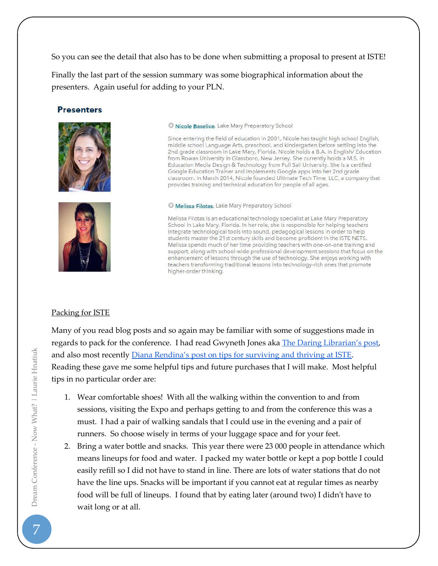So you can see the detail that also has to be done when submitting a proposal to present at ISTE!

Finally the last part of the session summary was some biographical information about the presenters. Again useful for adding to your PLN.

## **Presenters**





C Nicole Baselice, Lake Mary Preparatory School

Since entering the field of education in 2001, Nicole has taught high school English, middle school Language Arts, preschool, and kindergarten before settling into the 2nd grade classroom in Lake Mary, Florida. Nicole holds a B.A. in English/ Education from Rowan University in Glassboro, New Jersey. She currently holds a M.S. in<br>Education Media Design & Technology from Full Sail University. She is a certified Google Education Trainer and implements Google apps into her 2nd grade classroom. In March 2014, Nicole founded Ultimate Tech Time, LLC, a company that provides training and technical education for people of all ages.

Melissa Filotas, Lake Mary Preparatory School

Melissa Filotas is an educational technology specialist at Lake Mary Preparatory School in Lake Mary, Florida. In her role, she is responsible for helping teachers integrate technological tools into sound, pedagogical lessons in order to help students master the 21st century skills and become proficient in the ISTE NETS. Melissa spends much of her time providing teachers with one-on-one training and support, along with school-wide professional development sessions that focus on the enhancement of lessons through the use of technology. She enjoys working with teachers transforming traditional lessons into technology-rich ones that promote higher-order thinking.

## Packing for ISTE

Many of you read blog posts and so again may be familiar with some of suggestions made in regards to pack for the conference. I had read Gwyneth Jones aka [The Daring Librarian's post](http://www.thedaringlibrarian.com/2011/10/daring-conference-packing-tips-tricks.html), and also most recently [Diana Rendina's post on tips for surviving and thriving at ISTE](http://renovatedlearning.com/2015/06/19/10-tips-for-surviving-and-thriving-at-conferences/). Reading these gave me some helpful tips and future purchases that I will make. Most helpful tips in no particular order are:

- 1. Wear comfortable shoes! With all the walking within the convention to and from sessions, visiting the Expo and perhaps getting to and from the conference this was a must. I had a pair of walking sandals that I could use in the evening and a pair of runners. So choose wisely in terms of your luggage space and for your feet.
- 2. Bring a water bottle and snacks. This year there were 23 000 people in attendance which means lineups for food and water. I packed my water bottle or kept a pop bottle I could easily refill so I did not have to stand in line. There are lots of water stations that do not have the line ups. Snacks will be important if you cannot eat at regular times as nearby food will be full of lineups. I found that by eating later (around two) I didn't have to wait long or at all.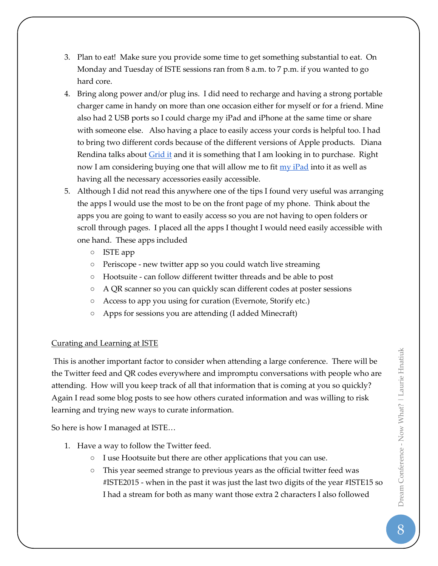- 3. Plan to eat! Make sure you provide some time to get something substantial to eat. On Monday and Tuesday of ISTE sessions ran from 8 a.m. to 7 p.m. if you wanted to go hard core.
- 4. Bring along power and/or plug ins. I did need to recharge and having a strong portable charger came in handy on more than one occasion either for myself or for a friend. Mine also had 2 USB ports so I could charge my iPad and iPhone at the same time or share with someone else. Also having a place to easily access your cords is helpful too. I had to bring two different cords because of the different versions of Apple products. Diana Rendina talks about [Grid it](http://www.amazon.ca/gp/product/B002HU27UW/ref=s9_simh_gw_p229_d0_i2?pf_rd_m=A3DWYIK6Y9EEQB&pf_rd_s=desktop-1&pf_rd_r=16VKCNKMJXM731R90JKS&pf_rd_t=36701&pf_rd_p=2055621862&pf_rd_i=desktop) and it is something that I am looking in to purchase. Right now I am considering buying one that will allow me to fit  $\frac{my}{Pad}$  into it as well as having all the necessary accessories easily accessible.
- 5. Although I did not read this anywhere one of the tips I found very useful was arranging the apps I would use the most to be on the front page of my phone. Think about the apps you are going to want to easily access so you are not having to open folders or scroll through pages. I placed all the apps I thought I would need easily accessible with one hand. These apps included
	- ISTE app
	- Periscope new twitter app so you could watch live streaming
	- Hootsuite can follow different twitter threads and be able to post
	- A QR scanner so you can quickly scan different codes at poster sessions
	- Access to app you using for curation (Evernote, Storify etc.)
	- Apps for sessions you are attending (I added Minecraft)

## Curating and Learning at ISTE

This is another important factor to consider when attending a large conference. There will be the Twitter feed and QR codes everywhere and impromptu conversations with people who are attending. How will you keep track of all that information that is coming at you so quickly? Again I read some blog posts to see how others curated information and was willing to risk learning and trying new ways to curate information.

So here is how I managed at ISTE…

- 1. Have a way to follow the Twitter feed.
	- I use Hootsuite but there are other applications that you can use.
	- This year seemed strange to previous years as the official twitter feed was #ISTE2015 - when in the past it was just the last two digits of the year #ISTE15 so I had a stream for both as many want those extra 2 characters I also followed